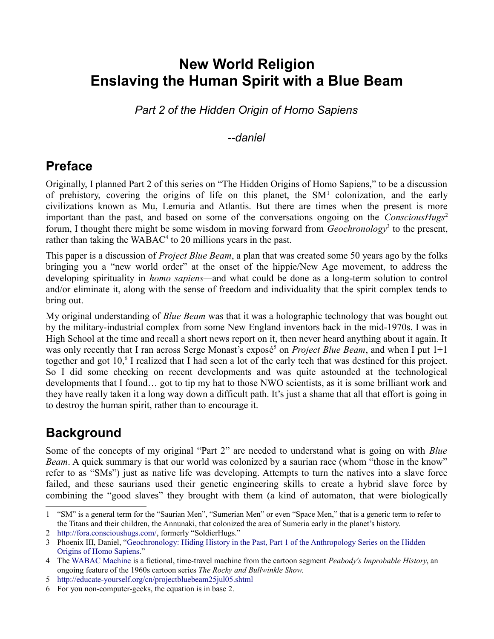# **New World Religion Enslaving the Human Spirit with a Blue Beam**

*Part 2 of the Hidden Origin of Homo Sapiens*

#### *--daniel*

# **Preface**

Originally, I planned Part 2 of this series on "The Hidden Origins of Homo Sapiens," to be a discussion of prehistory, covering the origins of life on this planet, the  $SM<sup>1</sup>$  $SM<sup>1</sup>$  $SM<sup>1</sup>$  colonization, and the early civilizations known as Mu, Lemuria and Atlantis. But there are times when the present is more important than the past, and based on some of the conversations ongoing on the *ConsciousHugs*<sup>[2](#page-0-1)</sup> forum, I thought there might be some wisdom in moving forward from *Geochronology*<sup>[3](#page-0-2)</sup> to the present, rather than taking the WABAC<sup>[4](#page-0-3)</sup> to 20 millions years in the past.

This paper is a discussion of *Project Blue Beam*, a plan that was created some 50 years ago by the folks bringing you a "new world order" at the onset of the hippie/New Age movement, to address the developing spirituality in *homo sapiens—*and what could be done as a long-term solution to control and/or eliminate it, along with the sense of freedom and individuality that the spirit complex tends to bring out.

My original understanding of *Blue Beam* was that it was a holographic technology that was bought out by the military-industrial complex from some New England inventors back in the mid-1970s. I was in High School at the time and recall a short news report on it, then never heard anything about it again. It was only recently that I ran across Serge Monast's exposé<sup>[5](#page-0-4)</sup> on *Project Blue Beam*, and when I put 1+1 together and got 10,<sup>[6](#page-0-5)</sup> I realized that I had seen a lot of the early tech that was destined for this project. So I did some checking on recent developments and was quite astounded at the technological developments that I found… got to tip my hat to those NWO scientists, as it is some brilliant work and they have really taken it a long way down a difficult path. It's just a shame that all that effort is going in to destroy the human spirit, rather than to encourage it.

# **Background**

Some of the concepts of my original "Part 2" are needed to understand what is going on with *Blue Beam.* A quick summary is that our world was colonized by a saurian race (whom "those in the know" refer to as "SMs") just as native life was developing. Attempts to turn the natives into a slave force failed, and these saurians used their genetic engineering skills to create a hybrid slave force by combining the "good slaves" they brought with them (a kind of automaton, that were biologically

<span id="page-0-0"></span><sup>1</sup> "SM" is a general term for the "Saurian Men", "Sumerian Men" or even "Space Men," that is a generic term to refer to the Titans and their children, the Annunaki, that colonized the area of Sumeria early in the planet's history.

<span id="page-0-1"></span><sup>2</sup> [http://fora.conscioushugs.com/,](http://fora.conscioushugs.com/) formerly "SoldierHugs."

<span id="page-0-2"></span><sup>3</sup> Phoenix III, Daniel, ["Geochronology: Hiding History in the Past, Part 1 of the Anthropology Series on the Hidden](http://reciprocalsystem.org/PDFa/Geochronology%20(Phoenix%20III,%20Daniel).pdf)  [Origins of Homo Sapiens.](http://reciprocalsystem.org/PDFa/Geochronology%20(Phoenix%20III,%20Daniel).pdf)"

<span id="page-0-3"></span><sup>4</sup> The [WABAC Machine](http://en.wikipedia.org/wiki/WABAC_machine) is a fictional, time-travel machine from the cartoon segment *Peabody's Improbable History*, an ongoing feature of the 1960s cartoon series *The Rocky and Bullwinkle Show*.

<span id="page-0-4"></span><sup>5</sup> <http://educate-yourself.org/cn/projectbluebeam25jul05.shtml>

<span id="page-0-5"></span><sup>6</sup> For you non-computer-geeks, the equation is in base 2.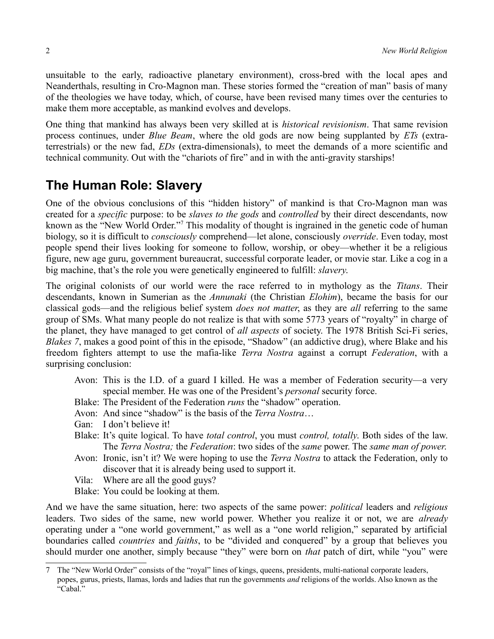unsuitable to the early, radioactive planetary environment), cross-bred with the local apes and Neanderthals, resulting in Cro-Magnon man. These stories formed the "creation of man" basis of many of the theologies we have today, which, of course, have been revised many times over the centuries to make them more acceptable, as mankind evolves and develops.

One thing that mankind has always been very skilled at is *historical revisionism*. That same revision process continues, under *Blue Beam*, where the old gods are now being supplanted by *ETs* (extraterrestrials) or the new fad, *EDs* (extra-dimensionals), to meet the demands of a more scientific and technical community. Out with the "chariots of fire" and in with the anti-gravity starships!

# **The Human Role: Slavery**

One of the obvious conclusions of this "hidden history" of mankind is that Cro-Magnon man was created for a *specific* purpose: to be *slaves to the gods* and *controlled* by their direct descendants, now known as the "New World Order."<sup>[7](#page-1-0)</sup> This modality of thought is ingrained in the genetic code of human biology, so it is difficult to *consciously* comprehend—let alone, consciously *override*. Even today, most people spend their lives looking for someone to follow, worship, or obey—whether it be a religious figure, new age guru, government bureaucrat, successful corporate leader, or movie star. Like a cog in a big machine, that's the role you were genetically engineered to fulfill: *slavery*.

The original colonists of our world were the race referred to in mythology as the *Titans*. Their descendants, known in Sumerian as the *Annunaki* (the Christian *Elohim*), became the basis for our classical gods—and the religious belief system *does not matter*, as they are *all* referring to the same group of SMs. What many people do not realize is that with some 5773 years of "royalty" in charge of the planet, they have managed to get control of *all aspects* of society. The 1978 British Sci-Fi series, *Blakes 7*, makes a good point of this in the episode, "Shadow" (an addictive drug), where Blake and his freedom fighters attempt to use the mafia-like *Terra Nostra* against a corrupt *Federation*, with a surprising conclusion:

- Avon: This is the I.D. of a guard I killed. He was a member of Federation security—a very special member. He was one of the President's *personal* security force.
- Blake: The President of the Federation *runs* the "shadow" operation.
- Avon: And since "shadow" is the basis of the *Terra Nostra*…
- Gan: I don't believe it!
- Blake: It's quite logical. To have *total control*, you must *control, totally*. Both sides of the law. The *Terra Nostra;* the *Federation*: two sides of the *same* power. The *same man of power*.
- Avon: Ironic, isn't it? We were hoping to use the *Terra Nostra* to attack the Federation, only to discover that it is already being used to support it.
- Vila: Where are all the good guys?
- Blake: You could be looking at them.

And we have the same situation, here: two aspects of the same power: *political* leaders and *religious* leaders. Two sides of the same, new world power. Whether you realize it or not, we are *already* operating under a "one world government," as well as a "one world religion," separated by artificial boundaries called *countries* and *faiths*, to be "divided and conquered" by a group that believes you should murder one another, simply because "they" were born on *that* patch of dirt, while "you" were

<span id="page-1-0"></span><sup>7</sup> The "New World Order" consists of the "royal" lines of kings, queens, presidents, multi-national corporate leaders, popes, gurus, priests, llamas, lords and ladies that run the governments *and* religions of the worlds. Also known as the "Cabal."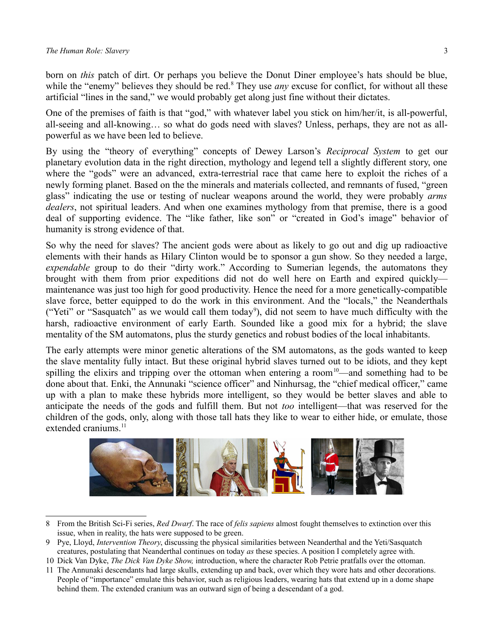born on *this* patch of dirt. Or perhaps you believe the Donut Diner employee's hats should be blue, while the "enemy" believes they should be red.<sup>[8](#page-2-0)</sup> They use *any* excuse for conflict, for without all these artificial "lines in the sand," we would probably get along just fine without their dictates.

One of the premises of faith is that "god," with whatever label you stick on him/her/it, is all-powerful, all-seeing and all-knowing… so what do gods need with slaves? Unless, perhaps, they are not as allpowerful as we have been led to believe.

By using the "theory of everything" concepts of Dewey Larson's *Reciprocal System* to get our planetary evolution data in the right direction, mythology and legend tell a slightly different story, one where the "gods" were an advanced, extra-terrestrial race that came here to exploit the riches of a newly forming planet. Based on the the minerals and materials collected, and remnants of fused, "green glass" indicating the use or testing of nuclear weapons around the world, they were probably *arms dealers*, not spiritual leaders. And when one examines mythology from that premise, there is a good deal of supporting evidence. The "like father, like son" or "created in God's image" behavior of humanity is strong evidence of that.

So why the need for slaves? The ancient gods were about as likely to go out and dig up radioactive elements with their hands as Hilary Clinton would be to sponsor a gun show. So they needed a large, *expendable* group to do their "dirty work." According to Sumerian legends, the automatons they brought with them from prior expeditions did not do well here on Earth and expired quickly maintenance was just too high for good productivity. Hence the need for a more genetically-compatible slave force, better equipped to do the work in this environment. And the "locals," the Neanderthals ("Yeti" or "Sasquatch" as we would call them today<sup>[9](#page-2-1)</sup>), did not seem to have much difficulty with the harsh, radioactive environment of early Earth. Sounded like a good mix for a hybrid; the slave mentality of the SM automatons, plus the sturdy genetics and robust bodies of the local inhabitants.

The early attempts were minor genetic alterations of the SM automatons, as the gods wanted to keep the slave mentality fully intact. But these original hybrid slaves turned out to be idiots, and they kept spilling the elixirs and tripping over the ottoman when entering a room<sup>[10](#page-2-2)</sup>—and something had to be done about that. Enki, the Annunaki "science officer" and Ninhursag, the "chief medical officer," came up with a plan to make these hybrids more intelligent, so they would be better slaves and able to anticipate the needs of the gods and fulfill them. But not *too* intelligent—that was reserved for the children of the gods, only, along with those tall hats they like to wear to either hide, or emulate, those extended craniums.<sup>[11](#page-2-3)</sup>



<sup>8</sup> From the British Sci-Fi series, *Red Dwarf*. The race of *felis sapiens* almost fought themselves to extinction over this issue, when in reality, the hats were supposed to be green.

<span id="page-2-1"></span><span id="page-2-0"></span><sup>9</sup> Pye, Lloyd, *Intervention Theory*, discussing the physical similarities between Neanderthal and the Yeti/Sasquatch creatures, postulating that Neanderthal continues on today *as* these species. A position I completely agree with.

<span id="page-2-2"></span><sup>10</sup> Dick Van Dyke, *The Dick Van Dyke Show,* introduction, where the character Rob Petrie pratfalls over the ottoman.

<span id="page-2-3"></span><sup>11</sup> The Annunaki descendants had large skulls, extending up and back, over which they wore hats and other decorations. People of "importance" emulate this behavior, such as religious leaders, wearing hats that extend up in a dome shape behind them. The extended cranium was an outward sign of being a descendant of a god.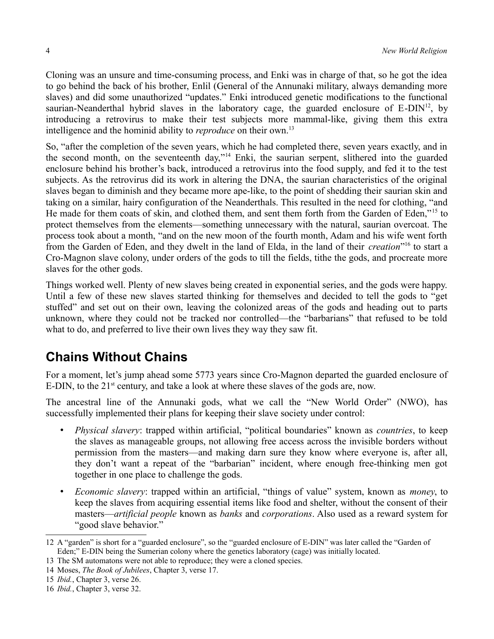Cloning was an unsure and time-consuming process, and Enki was in charge of that, so he got the idea to go behind the back of his brother, Enlil (General of the Annunaki military, always demanding more slaves) and did some unauthorized "updates." Enki introduced genetic modifications to the functional saurian-Neanderthal hybrid slaves in the laboratory cage, the guarded enclosure of  $E-DIN<sup>12</sup>$  $E-DIN<sup>12</sup>$  $E-DIN<sup>12</sup>$ , by introducing a retrovirus to make their test subjects more mammal-like, giving them this extra intelligence and the hominid ability to *reproduce* on their own.<sup>[13](#page-3-1)</sup>

So, "after the completion of the seven years, which he had completed there, seven years exactly, and in the second month, on the seventeenth day,"[14](#page-3-2) Enki, the saurian serpent, slithered into the guarded enclosure behind his brother's back, introduced a retrovirus into the food supply, and fed it to the test subjects. As the retrovirus did its work in altering the DNA, the saurian characteristics of the original slaves began to diminish and they became more ape-like, to the point of shedding their saurian skin and taking on a similar, hairy configuration of the Neanderthals. This resulted in the need for clothing, "and He made for them coats of skin, and clothed them, and sent them forth from the Garden of Eden,"<sup>[15](#page-3-3)</sup> to protect themselves from the elements—something unnecessary with the natural, saurian overcoat. The process took about a month, "and on the new moon of the fourth month, Adam and his wife went forth from the Garden of Eden, and they dwelt in the land of Elda, in the land of their *creation*<sup>[16](#page-3-4)</sup> to start a Cro-Magnon slave colony, under orders of the gods to till the fields, tithe the gods, and procreate more slaves for the other gods.

Things worked well. Plenty of new slaves being created in exponential series, and the gods were happy. Until a few of these new slaves started thinking for themselves and decided to tell the gods to "get stuffed" and set out on their own, leaving the colonized areas of the gods and heading out to parts unknown, where they could not be tracked nor controlled—the "barbarians" that refused to be told what to do, and preferred to live their own lives they way they saw fit.

# <span id="page-3-5"></span>**Chains Without Chains**

For a moment, let's jump ahead some 5773 years since Cro-Magnon departed the guarded enclosure of E-DIN, to the  $21<sup>st</sup>$  century, and take a look at where these slaves of the gods are, now.

The ancestral line of the Annunaki gods, what we call the "New World Order" (NWO), has successfully implemented their plans for keeping their slave society under control:

- *Physical slavery*: trapped within artificial, "political boundaries" known as *countries*, to keep the slaves as manageable groups, not allowing free access across the invisible borders without permission from the masters—and making darn sure they know where everyone is, after all, they don't want a repeat of the "barbarian" incident, where enough free-thinking men got together in one place to challenge the gods.
- *Economic slavery*: trapped within an artificial, "things of value" system, known as *money*, to keep the slaves from acquiring essential items like food and shelter, without the consent of their masters—*artificial people* known as *banks* and *corporations*. Also used as a reward system for "good slave behavior."

<span id="page-3-0"></span><sup>12</sup> A "garden" is short for a "guarded enclosure", so the "guarded enclosure of E-DIN" was later called the "Garden of Eden;" E-DIN being the Sumerian colony where the genetics laboratory (cage) was initially located.

<span id="page-3-1"></span><sup>13</sup> The SM automatons were not able to reproduce; they were a cloned species.

<span id="page-3-2"></span><sup>14</sup> Moses, *The Book of Jubilees*, Chapter 3, verse 17.

<span id="page-3-3"></span><sup>15</sup> *Ibid.*, Chapter 3, verse 26.

<span id="page-3-4"></span><sup>16</sup> *Ibid.*, Chapter 3, verse 32.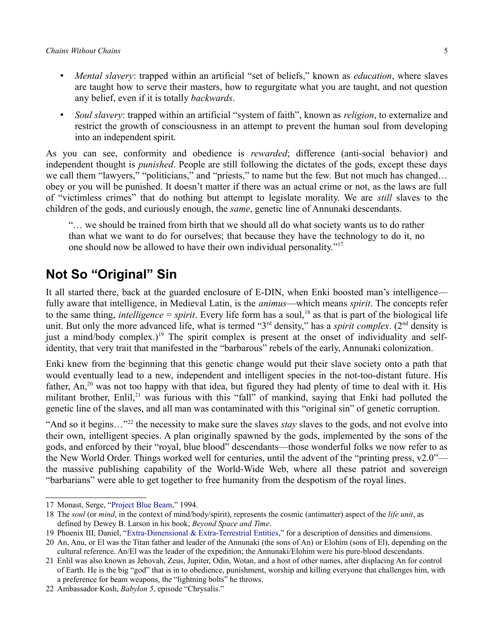- *Mental slavery*: trapped within an artificial "set of beliefs," known as *education*, where slaves are taught how to serve their masters, how to regurgitate what you are taught, and not question any belief, even if it is totally *backwards*.
- *Soul slavery*: trapped within an artificial "system of faith", known as *religion*, to externalize and restrict the growth of consciousness in an attempt to prevent the human soul from developing into an independent spirit.

As you can see, conformity and obedience is *rewarded*; difference (anti-social behavior) and independent thought is *punished*. People are still following the dictates of the gods, except these days we call them "lawyers," "politicians," and "priests," to name but the few. But not much has changed... obey or you will be punished. It doesn't matter if there was an actual crime or not, as the laws are full of "victimless crimes" that do nothing but attempt to legislate morality. We are *still* slaves to the children of the gods, and curiously enough, the *same*, genetic line of Annunaki descendants.

"… we should be trained from birth that we should all do what society wants us to do rather than what we want to do for ourselves; that because they have the technology to do it, no one should now be allowed to have their own individual personality."[17](#page-4-0)

## **Not So "Original" Sin**

It all started there, back at the guarded enclosure of E-DIN, when Enki boosted man's intelligence fully aware that intelligence, in Medieval Latin, is the *animus*—which means *spirit*. The concepts refer to the same thing, *intelligence* = *spirit*. Every life form has a soul,<sup>[18](#page-4-1)</sup> as that is part of the biological life unit. But only the more advanced life, what is termed "3<sup>rd</sup> density," has a *spirit complex*. (2<sup>nd</sup> density is just a mind/body complex.)<sup>[19](#page-4-2)</sup> The spirit complex is present at the onset of individuality and selfidentity, that very trait that manifested in the "barbarous" rebels of the early, Annunaki colonization.

Enki knew from the beginning that this genetic change would put their slave society onto a path that would eventually lead to a new, independent and intelligent species in the not-too-distant future. His father, An,<sup>[20](#page-4-3)</sup> was not too happy with that idea, but figured they had plenty of time to deal with it. His militant brother, Enlil,<sup>[21](#page-4-4)</sup> was furious with this "fall" of mankind, saying that Enki had polluted the genetic line of the slaves, and all man was contaminated with this "original sin" of genetic corruption.

"And so it begins…"[22](#page-4-5) the necessity to make sure the slaves *stay* slaves to the gods, and not evolve into their own, intelligent species. A plan originally spawned by the gods, implemented by the sons of the gods, and enforced by their "royal, blue blood" descendants—those wonderful folks we now refer to as the New World Order. Things worked well for centuries, until the advent of the "printing press, v2.0" the massive publishing capability of the World-Wide Web, where all these patriot and sovereign "barbarians" were able to get together to free humanity from the despotism of the royal lines.

<span id="page-4-0"></span><sup>17</sup> Monast, Serge, ["Project Blue Beam,](http://educate-yourself.org/cn/projectbluebeam25jul05.shtml)" 1994.

<span id="page-4-1"></span><sup>18</sup> The *soul* (or *mind*, in the context of mind/body/spirit), represents the cosmic (antimatter) aspect of the *life unit*, as defined by Dewey B. Larson in his book, *Beyond Space and Time*.

<span id="page-4-2"></span><sup>19</sup> Phoenix III, Daniel, ["Extra-Dimensional & Extra-Terrestrial Entities,](http://reciprocalsystem.org/PDFa/EDsETs%20(Phoenix%20III,%20Daniel).pdf)" for a description of densities and dimensions.

<span id="page-4-3"></span><sup>20</sup> An, Anu, or El was the Titan father and leader of the Annunaki (the sons of An) or Elohim (sons of El), depending on the cultural reference. An/El was the leader of the expedition; the Annunaki/Elohim were his pure-blood descendants.

<span id="page-4-4"></span><sup>21</sup> Enlil was also known as Jehovah, Zeus, Jupiter, Odin, Wotan, and a host of other names, after displacing An for control of Earth. He is the big "god" that is in to obedience, punishment, worship and killing everyone that challenges him, with a preference for beam weapons, the "lightning bolts" he throws.

<span id="page-4-5"></span><sup>22</sup> Ambassador Kosh, *Babylon 5*, episode "Chrysalis."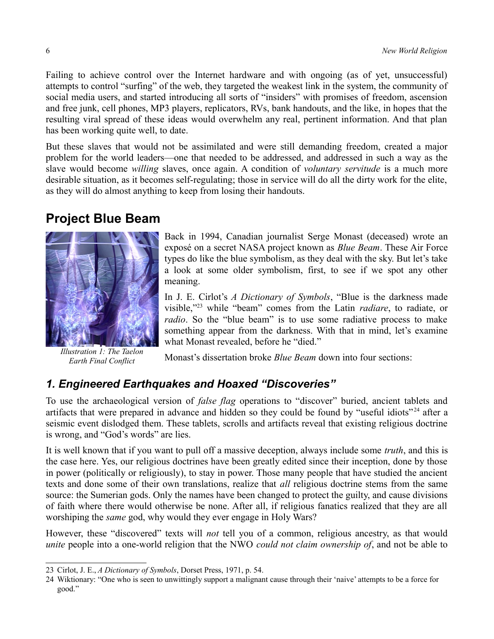Failing to achieve control over the Internet hardware and with ongoing (as of yet, unsuccessful) attempts to control "surfing" of the web, they targeted the weakest link in the system, the community of social media users, and started introducing all sorts of "insiders" with promises of freedom, ascension and free junk, cell phones, MP3 players, replicators, RVs, bank handouts, and the like, in hopes that the resulting viral spread of these ideas would overwhelm any real, pertinent information. And that plan has been working quite well, to date.

But these slaves that would not be assimilated and were still demanding freedom, created a major problem for the world leaders—one that needed to be addressed, and addressed in such a way as the slave would become *willing* slaves, once again. A condition of *voluntary servitude* is a much more desirable situation, as it becomes self-regulating; those in service will do all the dirty work for the elite, as they will do almost anything to keep from losing their handouts.

### **Project Blue Beam**



*Illustration 1: The Taelon Earth Final Conflict*

Back in 1994, Canadian journalist Serge Monast (deceased) wrote an exposé on a secret NASA project known as *Blue Beam*. These Air Force types do like the blue symbolism, as they deal with the sky. But let's take a look at some older symbolism, first, to see if we spot any other meaning.

In J. E. Cirlot's *A Dictionary of Symbols*, "Blue is the darkness made visible,"[23](#page-5-0) while "beam" comes from the Latin *radiare*, to radiate, or *radio*. So the "blue beam" is to use some radiative process to make something appear from the darkness. With that in mind, let's examine what Monast revealed, before he "died."

Monast's dissertation broke *Blue Beam* down into four sections:

### *1. Engineered Earthquakes and Hoaxed "Discoveries"*

To use the archaeological version of *false flag* operations to "discover" buried, ancient tablets and artifacts that were prepared in advance and hidden so they could be found by "useful idiots"<sup>[24](#page-5-1)</sup> after a seismic event dislodged them. These tablets, scrolls and artifacts reveal that existing religious doctrine is wrong, and "God's words" are lies.

It is well known that if you want to pull off a massive deception, always include some *truth*, and this is the case here. Yes, our religious doctrines have been greatly edited since their inception, done by those in power (politically or religiously), to stay in power. Those many people that have studied the ancient texts and done some of their own translations, realize that *all* religious doctrine stems from the same source: the Sumerian gods. Only the names have been changed to protect the guilty, and cause divisions of faith where there would otherwise be none. After all, if religious fanatics realized that they are all worshiping the *same* god, why would they ever engage in Holy Wars?

However, these "discovered" texts will *not* tell you of a common, religious ancestry, as that would *unite* people into a one-world religion that the NWO *could not claim ownership of*, and not be able to

<span id="page-5-0"></span><sup>23</sup> Cirlot, J. E., *A Dictionary of Symbols*, Dorset Press, 1971, p. 54.

<span id="page-5-1"></span><sup>24</sup> Wiktionary: "One who is seen to unwittingly support a malignant cause through their 'naive' attempts to be a force for good."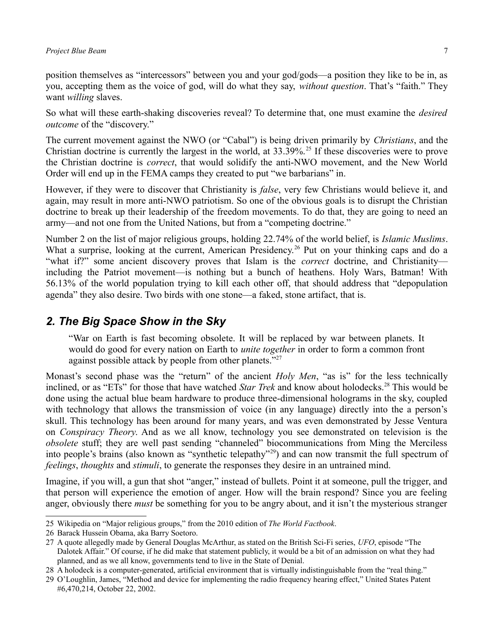position themselves as "intercessors" between you and your god/gods—a position they like to be in, as you, accepting them as the voice of god, will do what they say, *without question*. That's "faith." They want *willing* slaves.

So what will these earth-shaking discoveries reveal? To determine that, one must examine the *desired outcome* of the "discovery."

The current movement against the NWO (or "Cabal") is being driven primarily by *Christians*, and the Christian doctrine is currently the largest in the world, at  $33.39\%$ <sup>[25](#page-6-0)</sup> If these discoveries were to prove the Christian doctrine is *correct*, that would solidify the anti-NWO movement, and the New World Order will end up in the FEMA camps they created to put "we barbarians" in.

However, if they were to discover that Christianity is *false*, very few Christians would believe it, and again, may result in more anti-NWO patriotism. So one of the obvious goals is to disrupt the Christian doctrine to break up their leadership of the freedom movements. To do that, they are going to need an army—and not one from the United Nations, but from a "competing doctrine."

Number 2 on the list of major religious groups, holding 22.74% of the world belief, is *Islamic Muslims*. What a surprise, looking at the current, American Presidency.<sup>[26](#page-6-1)</sup> Put on your thinking caps and do a "what if?" some ancient discovery proves that Islam is the *correct* doctrine, and Christianity including the Patriot movement—is nothing but a bunch of heathens. Holy Wars, Batman! With 56.13% of the world population trying to kill each other off, that should address that "depopulation agenda" they also desire. Two birds with one stone—a faked, stone artifact, that is.

#### *2. The Big Space Show in the Sky*

"War on Earth is fast becoming obsolete. It will be replaced by war between planets. It would do good for every nation on Earth to *unite together* in order to form a common front against possible attack by people from other planets."<sup>[27](#page-6-2)</sup>

Monast's second phase was the "return" of the ancient *Holy Men*, "as is" for the less technically inclined, or as "ETs" for those that have watched *Star Trek* and know about holodecks.<sup>[28](#page-6-3)</sup> This would be done using the actual blue beam hardware to produce three-dimensional holograms in the sky, coupled with technology that allows the transmission of voice (in any language) directly into the a person's skull. This technology has been around for many years, and was even demonstrated by Jesse Ventura on *Conspiracy Theory*. And as we all know, technology you see demonstrated on television is the *obsolete* stuff; they are well past sending "channeled" biocommunications from Ming the Merciless into people's brains (also known as "synthetic telepathy"[29](#page-6-4)) and can now transmit the full spectrum of *feelings*, *thoughts* and *stimuli*, to generate the responses they desire in an untrained mind.

Imagine, if you will, a gun that shot "anger," instead of bullets. Point it at someone, pull the trigger, and that person will experience the emotion of anger. How will the brain respond? Since you are feeling anger, obviously there *must* be something for you to be angry about, and it isn't the mysterious stranger

<span id="page-6-0"></span><sup>25</sup> Wikipedia on "Major religious groups," from the 2010 edition of *The World Factbook*.

<span id="page-6-1"></span><sup>26</sup> Barack Hussein Obama, aka Barry Soetoro.

<span id="page-6-2"></span><sup>27</sup> A quote allegedly made by General Douglas McArthur, as stated on the British Sci-Fi series, *UFO*, episode "The Dalotek Affair." Of course, if he did make that statement publicly, it would be a bit of an admission on what they had planned, and as we all know, governments tend to live in the State of Denial.

<span id="page-6-3"></span><sup>28</sup> A holodeck is a computer-generated, artificial environment that is virtually indistinguishable from the "real thing."

<span id="page-6-4"></span><sup>29</sup> O'Loughlin, James, "Method and device for implementing the radio frequency hearing effect," United States Patent #6,470,214, October 22, 2002.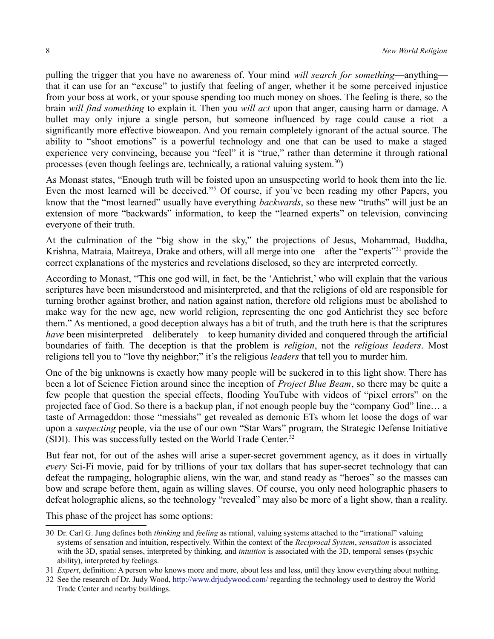pulling the trigger that you have no awareness of. Your mind *will search for something*—anything that it can use for an "excuse" to justify that feeling of anger, whether it be some perceived injustice from your boss at work, or your spouse spending too much money on shoes. The feeling is there, so the brain *will find something* to explain it. Then you *will act* upon that anger, causing harm or damage. A bullet may only injure a single person, but someone influenced by rage could cause a riot—a significantly more effective bioweapon. And you remain completely ignorant of the actual source. The ability to "shoot emotions" is a powerful technology and one that can be used to make a staged experience very convincing, because you "feel" it is "true," rather than determine it through rational processes (even though feelings are, technically, a rational valuing system.<sup>[30](#page-7-0)</sup>)

As Monast states, "Enough truth will be foisted upon an unsuspecting world to hook them into the lie. Even the most learned will be deceived."<sup>[5](#page-0-4)</sup> Of course, if you've been reading my other Papers, you know that the "most learned" usually have everything *backwards*, so these new "truths" will just be an extension of more "backwards" information, to keep the "learned experts" on television, convincing everyone of their truth.

At the culmination of the "big show in the sky," the projections of Jesus, Mohammad, Buddha, Krishna, Matraia, Maitreya, Drake and others, will all merge into one—after the "experts"<sup>[31](#page-7-1)</sup> provide the correct explanations of the mysteries and revelations disclosed, so they are interpreted correctly.

According to Monast, "This one god will, in fact, be the 'Antichrist,' who will explain that the various scriptures have been misunderstood and misinterpreted, and that the religions of old are responsible for turning brother against brother, and nation against nation, therefore old religions must be abolished to make way for the new age, new world religion, representing the one god Antichrist they see before them." As mentioned, a good deception always has a bit of truth, and the truth here is that the scriptures *have* been misinterpreted—deliberately—to keep humanity divided and conquered through the artificial boundaries of faith. The deception is that the problem is *religion*, not the *religious leaders*. Most religions tell you to "love thy neighbor;" it's the religious *leaders* that tell you to murder him.

One of the big unknowns is exactly how many people will be suckered in to this light show. There has been a lot of Science Fiction around since the inception of *Project Blue Beam*, so there may be quite a few people that question the special effects, flooding YouTube with videos of "pixel errors" on the projected face of God. So there is a backup plan, if not enough people buy the "company God" line… a taste of Armageddon: those "messiahs" get revealed as demonic ETs whom let loose the dogs of war upon a *suspecting* people, via the use of our own "Star Wars" program, the Strategic Defense Initiative (SDI). This was successfully tested on the World Trade Center.<sup>[32](#page-7-2)</sup>

But fear not, for out of the ashes will arise a super-secret government agency, as it does in virtually *every* Sci-Fi movie, paid for by trillions of your tax dollars that has super-secret technology that can defeat the rampaging, holographic aliens, win the war, and stand ready as "heroes" so the masses can bow and scrape before them, again as willing slaves. Of course, you only need holographic phasers to defeat holographic aliens, so the technology "revealed" may also be more of a light show, than a reality.

This phase of the project has some options:

<span id="page-7-0"></span><sup>30</sup> Dr. Carl G. Jung defines both *thinking* and *feeling* as rational, valuing systems attached to the "irrational" valuing systems of sensation and intuition, respectively. Within the context of the *Reciprocal System*, *sensation* is associated with the 3D, spatial senses, interpreted by thinking, and *intuition* is associated with the 3D, temporal senses (psychic ability), interpreted by feelings.

<span id="page-7-1"></span><sup>31</sup> *Expert*, definition: A person who knows more and more, about less and less, until they know everything about nothing.

<span id="page-7-2"></span><sup>32</sup> See the research of Dr. Judy Wood,<http://www.drjudywood.com/>regarding the technology used to destroy the World Trade Center and nearby buildings.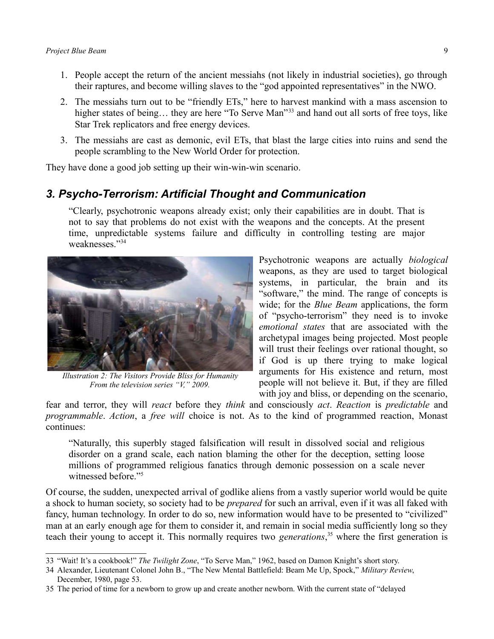- 1. People accept the return of the ancient messiahs (not likely in industrial societies), go through their raptures, and become willing slaves to the "god appointed representatives" in the NWO.
- 2. The messiahs turn out to be "friendly ETs," here to harvest mankind with a mass ascension to higher states of being... they are here "To Serve Man"<sup>[33](#page-8-0)</sup> and hand out all sorts of free toys, like Star Trek replicators and free energy devices.
- 3. The messiahs are cast as demonic, evil ETs, that blast the large cities into ruins and send the people scrambling to the New World Order for protection.

They have done a good job setting up their win-win-win scenario.

#### *3. Psycho-Terrorism: Artificial Thought and Communication*

"Clearly, psychotronic weapons already exist; only their capabilities are in doubt. That is not to say that problems do not exist with the weapons and the concepts. At the present time, unpredictable systems failure and difficulty in controlling testing are major weaknesses."[34](#page-8-1)



*Illustration 2: The Visitors Provide Bliss for Humanity From the television series "V," 2009.*

Psychotronic weapons are actually *biological* weapons, as they are used to target biological systems, in particular, the brain and its "software," the mind. The range of concepts is wide; for the *Blue Beam* applications, the form of "psycho-terrorism" they need is to invoke *emotional states* that are associated with the archetypal images being projected. Most people will trust their feelings over rational thought, so if God is up there trying to make logical arguments for His existence and return, most people will not believe it. But, if they are filled with joy and bliss, or depending on the scenario,

fear and terror, they will *react* before they *think* and consciously *act*. *Reaction* is *predictable* and *programmable*. *Action*, a *free will* choice is not. As to the kind of programmed reaction, Monast continues:

"Naturally, this superbly staged falsification will result in dissolved social and religious disorder on a grand scale, each nation blaming the other for the deception, setting loose millions of programmed religious fanatics through demonic possession on a scale never witnessed before."<sup>[5](#page-0-4)</sup>

Of course, the sudden, unexpected arrival of godlike aliens from a vastly superior world would be quite a shock to human society, so society had to be *prepared* for such an arrival, even if it was all faked with fancy, human technology. In order to do so, new information would have to be presented to "civilized" man at an early enough age for them to consider it, and remain in social media sufficiently long so they teach their young to accept it. This normally requires two *generations*, [35](#page-8-2) where the first generation is

<span id="page-8-0"></span><sup>33</sup> "Wait! It's a cookbook!" *The Twilight Zone*, "To Serve Man," 1962, based on Damon Knight's short story.

<span id="page-8-1"></span><sup>34</sup> Alexander, Lieutenant Colonel John B., "The New Mental Battlefield: Beam Me Up, Spock," *Military Review*, December, 1980, page 53.

<span id="page-8-2"></span><sup>35</sup> The period of time for a newborn to grow up and create another newborn. With the current state of "delayed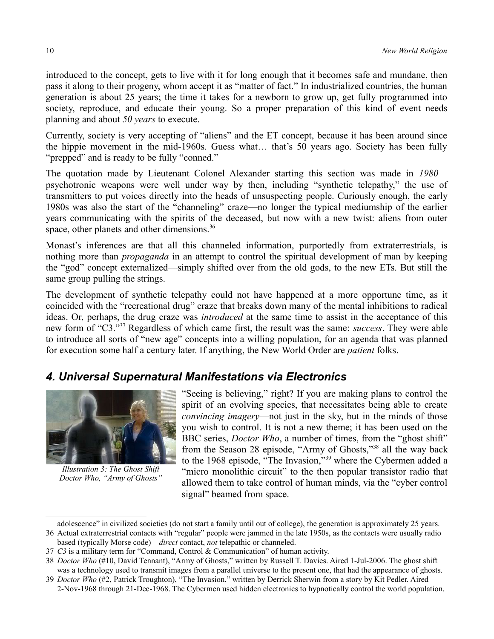introduced to the concept, gets to live with it for long enough that it becomes safe and mundane, then pass it along to their progeny, whom accept it as "matter of fact." In industrialized countries, the human generation is about 25 years; the time it takes for a newborn to grow up, get fully programmed into society, reproduce, and educate their young. So a proper preparation of this kind of event needs planning and about *50 years* to execute.

Currently, society is very accepting of "aliens" and the ET concept, because it has been around since the hippie movement in the mid-1960s. Guess what… that's 50 years ago. Society has been fully "prepped" and is ready to be fully "conned."

The quotation made by Lieutenant Colonel Alexander starting this section was made in *1980* psychotronic weapons were well under way by then, including "synthetic telepathy," the use of transmitters to put voices directly into the heads of unsuspecting people. Curiously enough, the early 1980s was also the start of the "channeling" craze—no longer the typical mediumship of the earlier years communicating with the spirits of the deceased, but now with a new twist: aliens from outer space, other planets and other dimensions.<sup>[36](#page-9-0)</sup>

Monast's inferences are that all this channeled information, purportedly from extraterrestrials, is nothing more than *propaganda* in an attempt to control the spiritual development of man by keeping the "god" concept externalized—simply shifted over from the old gods, to the new ETs. But still the same group pulling the strings.

The development of synthetic telepathy could not have happened at a more opportune time, as it coincided with the "recreational drug" craze that breaks down many of the mental inhibitions to radical ideas. Or, perhaps, the drug craze was *introduced* at the same time to assist in the acceptance of this new form of "C3."[37](#page-9-1) Regardless of which came first, the result was the same: *success*. They were able to introduce all sorts of "new age" concepts into a willing population, for an agenda that was planned for execution some half a century later. If anything, the New World Order are *patient* folks.

### *4. Universal Supernatural Manifestations via Electronics*



*Illustration 3: The Ghost Shift Doctor Who, "Army of Ghosts"*

"Seeing is believing," right? If you are making plans to control the spirit of an evolving species, that necessitates being able to create *convincing imagery*—not just in the sky, but in the minds of those you wish to control. It is not a new theme; it has been used on the BBC series, *Doctor Who*, a number of times, from the "ghost shift" from the Season 28 episode, "Army of Ghosts,"[38](#page-9-2) all the way back to the 1968 episode, "The Invasion,"<sup>[39](#page-9-3)</sup> where the Cybermen added a "micro monolithic circuit" to the then popular transistor radio that allowed them to take control of human minds, via the "cyber control signal" beamed from space.

<span id="page-9-0"></span>adolescence" in civilized societies (do not start a family until out of college), the generation is approximately 25 years. 36 Actual extraterrestrial contacts with "regular" people were jammed in the late 1950s, as the contacts were usually radio

based (typically Morse code)—*direct* contact, *not* telepathic or channeled.

<span id="page-9-1"></span><sup>37</sup> *C3* is a military term for "Command, Control & Communication" of human activity.

<span id="page-9-2"></span><sup>38</sup> *Doctor Who* (#10, David Tennant), "Army of Ghosts," written by Russell T. Davies. Aired 1-Jul-2006. The ghost shift was a technology used to transmit images from a parallel universe to the present one, that had the appearance of ghosts.

<span id="page-9-3"></span><sup>39</sup> *Doctor Who* (#2, Patrick Troughton), "The Invasion," written by Derrick Sherwin from a story by Kit Pedler. Aired 2-Nov-1968 through 21-Dec-1968. The Cybermen used hidden electronics to hypnotically control the world population.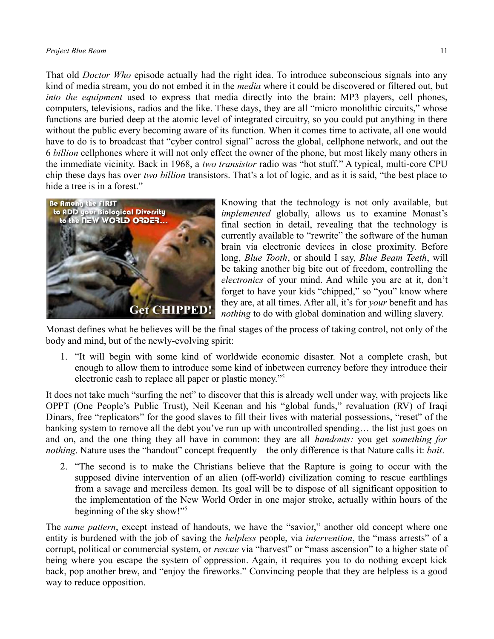#### *Project Blue Beam* 11

That old *Doctor Who* episode actually had the right idea. To introduce subconscious signals into any kind of media stream, you do not embed it in the *media* where it could be discovered or filtered out, but *into the equipment* used to express that media directly into the brain: MP3 players, cell phones, computers, televisions, radios and the like. These days, they are all "micro monolithic circuits," whose functions are buried deep at the atomic level of integrated circuitry, so you could put anything in there without the public every becoming aware of its function. When it comes time to activate, all one would have to do is to broadcast that "cyber control signal" across the global, cellphone network, and out the 6 *billion* cellphones where it will not only effect the owner of the phone, but most likely many others in the immediate vicinity. Back in 1968, a *two transistor* radio was "hot stuff." A typical, multi-core CPU chip these days has over *two billion* transistors. That's a lot of logic, and as it is said, "the best place to hide a tree is in a forest."



Knowing that the technology is not only available, but *implemented* globally, allows us to examine Monast's final section in detail, revealing that the technology is currently available to "rewrite" the software of the human brain via electronic devices in close proximity. Before long, *Blue Tooth*, or should I say, *Blue Beam Teeth*, will be taking another big bite out of freedom, controlling the *electronics* of your mind. And while you are at it, don't forget to have your kids "chipped," so "you" know where they are, at all times. After all, it's for *your* benefit and has *nothing* to do with global domination and willing slavery.

Monast defines what he believes will be the final stages of the process of taking control, not only of the body and mind, but of the newly-evolving spirit:

1. "It will begin with some kind of worldwide economic disaster. Not a complete crash, but enough to allow them to introduce some kind of inbetween currency before they introduce their electronic cash to replace all paper or plastic money."[5](#page-0-4)

It does not take much "surfing the net" to discover that this is already well under way, with projects like OPPT (One People's Public Trust), Neil Keenan and his "global funds," revaluation (RV) of Iraqi Dinars, free "replicators" for the good slaves to fill their lives with material possessions, "reset" of the banking system to remove all the debt you've run up with uncontrolled spending… the list just goes on and on, and the one thing they all have in common: they are all *handouts:* you get *something for nothing*. Nature uses the "handout" concept frequently—the only difference is that Nature calls it: *bait*.

2. "The second is to make the Christians believe that the Rapture is going to occur with the supposed divine intervention of an alien (off-world) civilization coming to rescue earthlings from a savage and merciless demon. Its goal will be to dispose of all significant opposition to the implementation of the New World Order in one major stroke, actually within hours of the beginning of the sky show!"[5](#page-0-4)

The *same pattern*, except instead of handouts, we have the "savior," another old concept where one entity is burdened with the job of saving the *helpless* people, via *intervention*, the "mass arrests" of a corrupt, political or commercial system, or *rescue* via "harvest" or "mass ascension" to a higher state of being where you escape the system of oppression. Again, it requires you to do nothing except kick back, pop another brew, and "enjoy the fireworks." Convincing people that they are helpless is a good way to reduce opposition.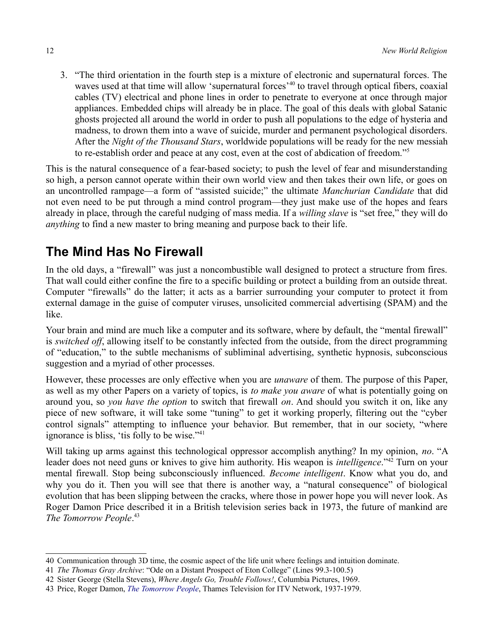3. "The third orientation in the fourth step is a mixture of electronic and supernatural forces. The waves used at that time will allow 'supernatural forces'<sup>[40](#page-11-0)</sup> to travel through optical fibers, coaxial cables (TV) electrical and phone lines in order to penetrate to everyone at once through major appliances. Embedded chips will already be in place. The goal of this deals with global Satanic ghosts projected all around the world in order to push all populations to the edge of hysteria and madness, to drown them into a wave of suicide, murder and permanent psychological disorders. After the *Night of the Thousand Stars*, worldwide populations will be ready for the new messiah to re-establish order and peace at any cost, even at the cost of abdication of freedom."[5](#page-0-4)

This is the natural consequence of a fear-based society; to push the level of fear and misunderstanding so high, a person cannot operate within their own world view and then takes their own life, or goes on an uncontrolled rampage—a form of "assisted suicide;" the ultimate *Manchurian Candidate* that did not even need to be put through a mind control program—they just make use of the hopes and fears already in place, through the careful nudging of mass media. If a *willing slave* is "set free," they will do *anything* to find a new master to bring meaning and purpose back to their life.

# **The Mind Has No Firewall**

In the old days, a "firewall" was just a noncombustible wall designed to protect a structure from fires. That wall could either confine the fire to a specific building or protect a building from an outside threat. Computer "firewalls" do the latter; it acts as a barrier surrounding your computer to protect it from external damage in the guise of computer viruses, unsolicited commercial advertising (SPAM) and the like.

Your brain and mind are much like a computer and its software, where by default, the "mental firewall" is *switched off*, allowing itself to be constantly infected from the outside, from the direct programming of "education," to the subtle mechanisms of subliminal advertising, synthetic hypnosis, subconscious suggestion and a myriad of other processes.

However, these processes are only effective when you are *unaware* of them. The purpose of this Paper, as well as my other Papers on a variety of topics, is *to make you aware* of what is potentially going on around you, so *you have the option* to switch that firewall *on*. And should you switch it on, like any piece of new software, it will take some "tuning" to get it working properly, filtering out the "cyber control signals" attempting to influence your behavior. But remember, that in our society, "where ignorance is bliss, 'tis folly to be wise."<sup>[41](#page-11-1)</sup>

Will taking up arms against this technological oppressor accomplish anything? In my opinion, *no*. "A leader does not need guns or knives to give him authority. His weapon is *intelligence*."[42](#page-11-2) Turn on your mental firewall. Stop being subconsciously influenced. *Become intelligent*. Know what you do, and why you do it. Then you will see that there is another way, a "natural consequence" of biological evolution that has been slipping between the cracks, where those in power hope you will never look. As Roger Damon Price described it in a British television series back in 1973, the future of mankind are *The Tomorrow People*. [43](#page-11-3)

<span id="page-11-0"></span><sup>40</sup> Communication through 3D time, the cosmic aspect of the life unit where feelings and intuition dominate.

<span id="page-11-1"></span><sup>41</sup> *The Thomas Gray Archive*: "Ode on a Distant Prospect of Eton College" (Lines 99.3-100.5)

<span id="page-11-2"></span><sup>42</sup> Sister George (Stella Stevens), *Where Angels Go, Trouble Follows!*, Columbia Pictures, 1969.

<span id="page-11-3"></span><sup>43</sup> Price, Roger Damon, *[The Tomorrow People](http://en.wikipedia.org/wiki/The_Tomorrow_People)*, Thames Television for ITV Network, 1937-1979.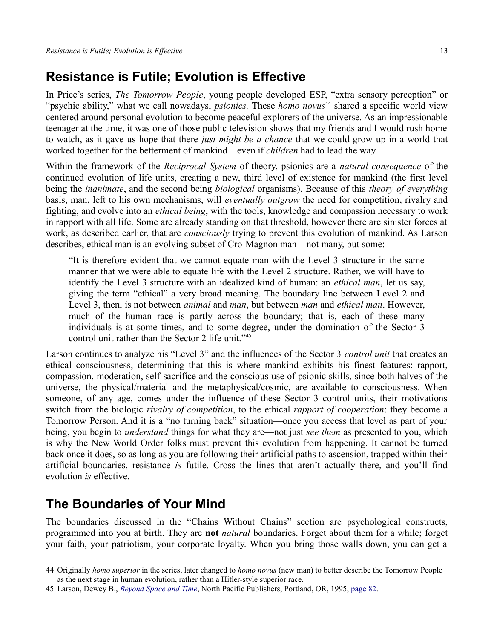## **Resistance is Futile; Evolution is Effective**

In Price's series, *The Tomorrow People*, young people developed ESP, "extra sensory perception" or "psychic ability," what we call nowadays, *psionics*. These *homo novus*<sup>[44](#page-12-0)</sup> shared a specific world view centered around personal evolution to become peaceful explorers of the universe. As an impressionable teenager at the time, it was one of those public television shows that my friends and I would rush home to watch, as it gave us hope that there *just might be a chance* that we could grow up in a world that worked together for the betterment of mankind—even if *children* had to lead the way.

Within the framework of the *Reciprocal System* of theory, psionics are a *natural consequence* of the continued evolution of life units, creating a new, third level of existence for mankind (the first level being the *inanimate*, and the second being *biological* organisms). Because of this *theory of everything* basis, man, left to his own mechanisms, will *eventually outgrow* the need for competition, rivalry and fighting, and evolve into an *ethical being*, with the tools, knowledge and compassion necessary to work in rapport with all life. Some are already standing on that threshold, however there are sinister forces at work, as described earlier, that are *consciously* trying to prevent this evolution of mankind. As Larson describes, ethical man is an evolving subset of Cro-Magnon man—not many, but some:

"It is therefore evident that we cannot equate man with the Level 3 structure in the same manner that we were able to equate life with the Level 2 structure. Rather, we will have to identify the Level 3 structure with an idealized kind of human: an *ethical man*, let us say, giving the term "ethical" a very broad meaning. The boundary line between Level 2 and Level 3, then, is not between *animal* and *man*, but between *man* and *ethical man*. However, much of the human race is partly across the boundary; that is, each of these many individuals is at some times, and to some degree, under the domination of the Sector 3 control unit rather than the Sector 2 life unit."[45](#page-12-1)

Larson continues to analyze his "Level 3" and the influences of the Sector 3 *control unit* that creates an ethical consciousness, determining that this is where mankind exhibits his finest features: rapport, compassion, moderation, self-sacrifice and the conscious use of psionic skills, since both halves of the universe, the physical/material and the metaphysical/cosmic, are available to consciousness. When someone, of any age, comes under the influence of these Sector 3 control units, their motivations switch from the biologic *rivalry of competition*, to the ethical *rapport of cooperation*: they become a Tomorrow Person. And it is a "no turning back" situation—once you access that level as part of your being, you begin to *understand* things for what they are—not just *see them* as presented to you, which is why the New World Order folks must prevent this evolution from happening. It cannot be turned back once it does, so as long as you are following their artificial paths to ascension, trapped within their artificial boundaries, resistance *is* futile. Cross the lines that aren't actually there, and you'll find evolution *is* effective.

### **The Boundaries of Your Mind**

The boundaries discussed in the ["Chains Without Chains"](#page-3-5) section are psychological constructs, programmed into you at birth. They are **not** *natural* boundaries. Forget about them for a while; forget your faith, your patriotism, your corporate loyalty. When you bring those walls down, you can get a

<span id="page-12-0"></span><sup>44</sup> Originally *homo superior* in the series, later changed to *homo novus* (new man) to better describe the Tomorrow People as the next stage in human evolution, rather than a Hitler-style superior race.

<span id="page-12-1"></span><sup>45</sup> Larson, Dewey B., *[Beyond Space and Time](http://library.rstheory.org/books/bst)*, North Pacific Publishers, Portland, OR, 1995, [page 82.](http://library.rstheory.org/books/bst/07.html#Page%2082)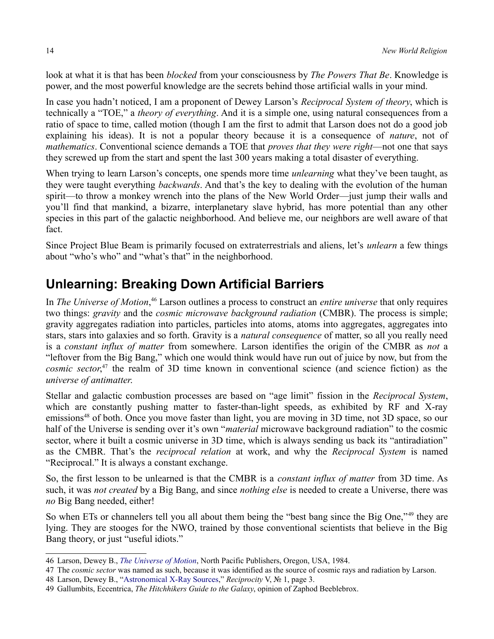look at what it is that has been *blocked* from your consciousness by *The Powers That Be*. Knowledge is power, and the most powerful knowledge are the secrets behind those artificial walls in your mind.

In case you hadn't noticed, I am a proponent of Dewey Larson's *Reciprocal System of theory*, which is technically a "TOE," a *theory of everything*. And it is a simple one, using natural consequences from a ratio of space to time, called motion (though I am the first to admit that Larson does not do a good job explaining his ideas). It is not a popular theory because it is a consequence of *nature*, not of *mathematics*. Conventional science demands a TOE that *proves that they were right*—not one that says they screwed up from the start and spent the last 300 years making a total disaster of everything.

When trying to learn Larson's concepts, one spends more time *unlearning* what they've been taught, as they were taught everything *backwards*. And that's the key to dealing with the evolution of the human spirit—to throw a monkey wrench into the plans of the New World Order—just jump their walls and you'll find that mankind, a bizarre, interplanetary slave hybrid, has more potential than any other species in this part of the galactic neighborhood. And believe me, our neighbors are well aware of that fact.

Since Project Blue Beam is primarily focused on extraterrestrials and aliens, let's *unlearn* a few things about "who's who" and "what's that" in the neighborhood.

# **Unlearning: Breaking Down Artificial Barriers**

In *The Universe of Motion*, [46](#page-13-0) Larson outlines a process to construct an *entire universe* that only requires two things: *gravity* and the *cosmic microwave background radiation* (CMBR). The process is simple; gravity aggregates radiation into particles, particles into atoms, atoms into aggregates, aggregates into stars, stars into galaxies and so forth. Gravity is a *natural consequence* of matter, so all you really need is a *constant influx of matter* from somewhere. Larson identifies the origin of the CMBR as *not* a "leftover from the Big Bang," which one would think would have run out of juice by now, but from the *cosmic sector*, [47](#page-13-1) the realm of 3D time known in conventional science (and science fiction) as the *universe of antimatter*.

Stellar and galactic combustion processes are based on "age limit" fission in the *Reciprocal System*, which are constantly pushing matter to faster-than-light speeds, as exhibited by RF and X-ray emissions<sup>[48](#page-13-2)</sup> of both. Once you move faster than light, you are moving in 3D time, not 3D space, so our half of the Universe is sending over it's own "*material* microwave background radiation" to the cosmic sector, where it built a cosmic universe in 3D time, which is always sending us back its "antiradiation" as the CMBR. That's the *reciprocal relation* at work, and why the *Reciprocal System* is named "Reciprocal." It is always a constant exchange.

So, the first lesson to be unlearned is that the CMBR is a *constant influx of matter* from 3D time. As such, it was *not created* by a Big Bang, and since *nothing else* is needed to create a Universe, there was *no* Big Bang needed, either!

So when ETs or channelers tell you all about them being the "best bang since the Big One,"<sup>[49](#page-13-3)</sup> they are lying. They are stooges for the NWO, trained by those conventional scientists that believe in the Big Bang theory, or just "useful idiots."

<span id="page-13-0"></span><sup>46</sup> Larson, Dewey B., *[The Universe of Motion](http://library.rstheory.org/books/uom/index.html)*, North Pacific Publishers, Oregon, USA, 1984.

<span id="page-13-1"></span><sup>47</sup> The *cosmic sector* was named as such, because it was identified as the source of cosmic rays and radiation by Larson.

<span id="page-13-2"></span><sup>48</sup> Larson, Dewey B., ["Astronomical X-Ray Sources,](http://reciprocalsystem.org/PDFa/Astronomical%20X-ray%20Sources%20(Larson,%20Dewey%20B).pdf)" *Reciprocity* V, № 1, page 3.

<span id="page-13-3"></span><sup>49</sup> Gallumbits, Eccentrica, *The Hitchhikers Guide to the Galaxy*, opinion of Zaphod Beeblebrox.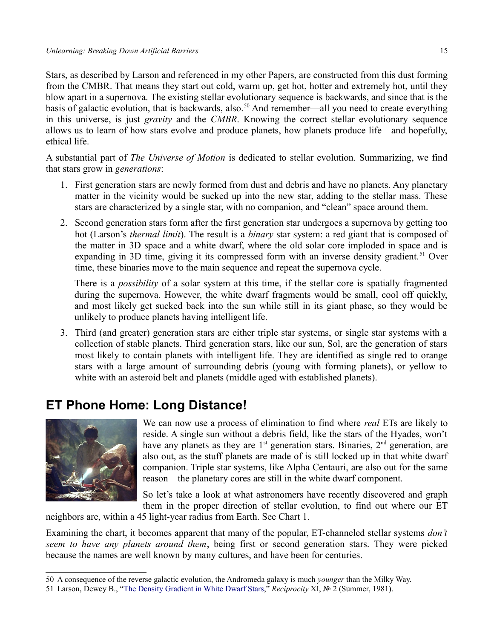Stars, as described by Larson and referenced in my other Papers, are constructed from this dust forming from the CMBR. That means they start out cold, warm up, get hot, hotter and extremely hot, until they blow apart in a supernova. The existing stellar evolutionary sequence is backwards, and since that is the basis of galactic evolution, that is backwards, also.<sup>[50](#page-14-0)</sup> And remember—all you need to create everything in this universe, is just *gravity* and the *CMBR*. Knowing the correct stellar evolutionary sequence allows us to learn of how stars evolve and produce planets, how planets produce life—and hopefully, ethical life.

A substantial part of *The Universe of Motion* is dedicated to stellar evolution. Summarizing, we find that stars grow in *generations*:

- 1. First generation stars are newly formed from dust and debris and have no planets. Any planetary matter in the vicinity would be sucked up into the new star, adding to the stellar mass. These stars are characterized by a single star, with no companion, and "clean" space around them.
- 2. Second generation stars form after the first generation star undergoes a supernova by getting too hot (Larson's *thermal limit*). The result is a *binary* star system: a red giant that is composed of the matter in 3D space and a white dwarf, where the old solar core imploded in space and is expanding in 3D time, giving it its compressed form with an inverse density gradient.<sup>[51](#page-14-1)</sup> Over time, these binaries move to the main sequence and repeat the supernova cycle.

There is a *possibility* of a solar system at this time, if the stellar core is spatially fragmented during the supernova. However, the white dwarf fragments would be small, cool off quickly, and most likely get sucked back into the sun while still in its giant phase, so they would be unlikely to produce planets having intelligent life.

3. Third (and greater) generation stars are either triple star systems, or single star systems with a collection of stable planets. Third generation stars, like our sun, Sol, are the generation of stars most likely to contain planets with intelligent life. They are identified as single red to orange stars with a large amount of surrounding debris (young with forming planets), or yellow to white with an asteroid belt and planets (middle aged with established planets).

# **ET Phone Home: Long Distance!**



We can now use a process of elimination to find where *real* ETs are likely to reside. A single sun without a debris field, like the stars of the Hyades, won't have any planets as they are  $1<sup>st</sup>$  generation stars. Binaries,  $2<sup>nd</sup>$  generation, are also out, as the stuff planets are made of is still locked up in that white dwarf companion. Triple star systems, like Alpha Centauri, are also out for the same reason—the planetary cores are still in the white dwarf component.

So let's take a look at what astronomers have recently discovered and graph them in the proper direction of stellar evolution, to find out where our ET

neighbors are, within a 45 light-year radius from Earth. See [Chart 1.](#page-15-0)

Examining the chart, it becomes apparent that many of the popular, ET-channeled stellar systems *don't seem to have any planets around them*, being first or second generation stars. They were picked because the names are well known by many cultures, and have been for centuries.

<span id="page-14-0"></span><sup>50</sup> A consequence of the reverse galactic evolution, the Andromeda galaxy is much *younger* than the Milky Way.

<span id="page-14-1"></span><sup>51</sup> Larson, Dewey B., ["The Density Gradient in White Dwarf Stars,](http://reciprocalsystem.org/PDFa/The%20Density%20Gradient%20in%20White%20Dwarf%20Stars%20(Larson,%20Dewey%20B).pdf)" *Reciprocity* XI, № 2 (Summer, 1981).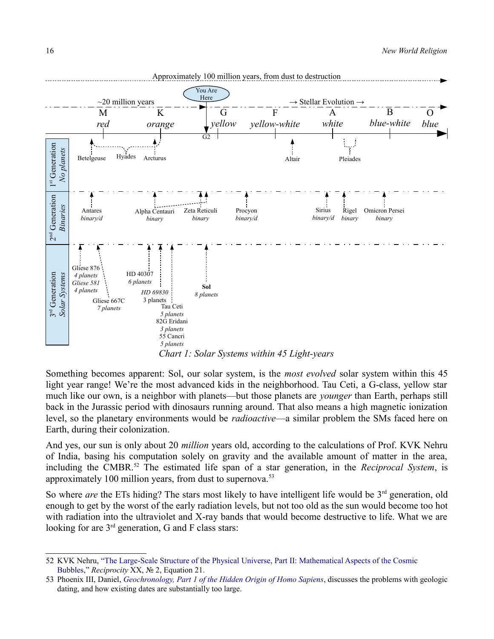

<span id="page-15-0"></span>Something becomes apparent: Sol, our solar system, is the *most evolved* solar system within this 45 light year range! We're the most advanced kids in the neighborhood. Tau Ceti, a G-class, yellow star much like our own, is a neighbor with planets—but those planets are *younger* than Earth, perhaps still back in the Jurassic period with dinosaurs running around. That also means a high magnetic ionization level, so the planetary environments would be *radioactive*—a similar problem the SMs faced here on Earth, during their colonization.

And yes, our sun is only about 20 *million* years old, according to the calculations of Prof. KVK Nehru of India, basing his computation solely on gravity and the available amount of matter in the area, including the CMBR.[52](#page-15-1) The estimated life span of a star generation, in the *Reciprocal System*, is approximately 100 million years, from dust to supernova.<sup>[53](#page-15-2)</sup>

So where *are* the ETs hiding? The stars most likely to have intelligent life would be 3<sup>rd</sup> generation, old enough to get by the worst of the early radiation levels, but not too old as the sun would become too hot with radiation into the ultraviolet and X-ray bands that would become destructive to life. What we are looking for are 3<sup>rd</sup> generation, G and F class stars:

<span id="page-15-1"></span><sup>52</sup> KVK Nehru, ["The Large-Scale Structure of the Physical Universe, Part II: Mathematical Aspects of the Cosmic](http://reciprocalsystem.org/PDFa/The%20Large-Scale%20Structure%20of%20the%20Physical%20Universe%20(KVK,%20Nehru).pdf)  [Bubbles,](http://reciprocalsystem.org/PDFa/The%20Large-Scale%20Structure%20of%20the%20Physical%20Universe%20(KVK,%20Nehru).pdf)" *Reciprocity* XX, № 2, Equation 21.

<span id="page-15-2"></span><sup>53</sup> Phoenix III, Daniel, *[Geochronology, Part 1 of the Hidden Origin of Homo Sapiens](http://reciprocalsystem.org/PDFa/Geochronology%20(Phoenix%20III,%20Daniel).pdf)*, discusses the problems with geologic dating, and how existing dates are substantially too large.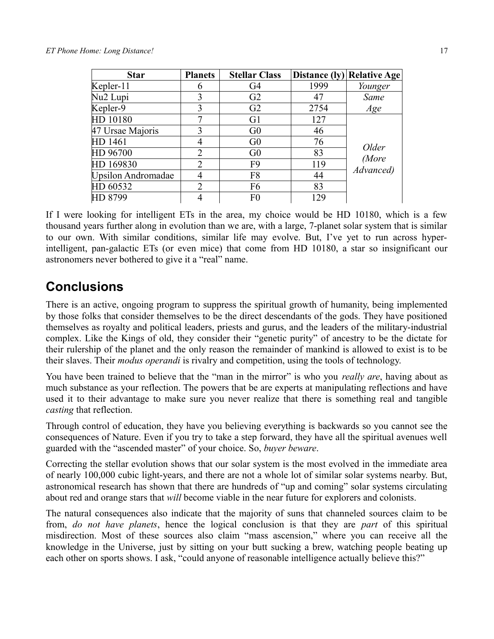#### *ET Phone Home: Long Distance!* 17

| <b>Star</b>               | <b>Planets</b> | <b>Stellar Class</b> | Distance $( y )$ | <b>Relative Age</b>         |
|---------------------------|----------------|----------------------|------------------|-----------------------------|
| Kepler-11                 | 6              | G4                   | 1999             | Younger                     |
| Nu <sub>2</sub> Lupi      | 3              | G2                   | 47               | Same                        |
| Kepler-9                  | 3              | G <sub>2</sub>       | 2754             | Age                         |
| HD 10180                  |                | G <sub>1</sub>       | 127              | Older<br>(More<br>Advanced) |
| 47 Ursae Majoris          | 3              | G <sub>0</sub>       | 46               |                             |
| HD 1461                   | 4              | G <sub>0</sub>       | 76               |                             |
| HD 96700                  | $\overline{2}$ | G <sub>0</sub>       | 83               |                             |
| HD 169830                 | $\overline{2}$ | F <sub>9</sub>       | 119              |                             |
| <b>Upsilon Andromadae</b> | 4              | F8                   | 44               |                             |
| HD 60532                  | $\overline{2}$ | F <sub>6</sub>       | 83               |                             |
| HD 8799                   | 4              | F <sub>0</sub>       | 129              |                             |

If I were looking for intelligent ETs in the area, my choice would be HD 10180, which is a few thousand years further along in evolution than we are, with a large, 7-planet solar system that is similar to our own. With similar conditions, similar life may evolve. But, I've yet to run across hyperintelligent, pan-galactic ETs (or even mice) that come from HD 10180, a star so insignificant our astronomers never bothered to give it a "real" name.

### **Conclusions**

There is an active, ongoing program to suppress the spiritual growth of humanity, being implemented by those folks that consider themselves to be the direct descendants of the gods. They have positioned themselves as royalty and political leaders, priests and gurus, and the leaders of the military-industrial complex. Like the Kings of old, they consider their "genetic purity" of ancestry to be the dictate for their rulership of the planet and the only reason the remainder of mankind is allowed to exist is to be their slaves. Their *modus operandi* is rivalry and competition, using the tools of technology.

You have been trained to believe that the "man in the mirror" is who you *really are*, having about as much substance as your reflection. The powers that be are experts at manipulating reflections and have used it to their advantage to make sure you never realize that there is something real and tangible *casting* that reflection.

Through control of education, they have you believing everything is backwards so you cannot see the consequences of Nature. Even if you try to take a step forward, they have all the spiritual avenues well guarded with the "ascended master" of your choice. So, *buyer beware*.

Correcting the stellar evolution shows that our solar system is the most evolved in the immediate area of nearly 100,000 cubic light-years, and there are not a whole lot of similar solar systems nearby. But, astronomical research has shown that there are hundreds of "up and coming" solar systems circulating about red and orange stars that *will* become viable in the near future for explorers and colonists.

The natural consequences also indicate that the majority of suns that channeled sources claim to be from, *do not have planets*, hence the logical conclusion is that they are *part* of this spiritual misdirection. Most of these sources also claim "mass ascension," where you can receive all the knowledge in the Universe, just by sitting on your butt sucking a brew, watching people beating up each other on sports shows. I ask, "could anyone of reasonable intelligence actually believe this?"